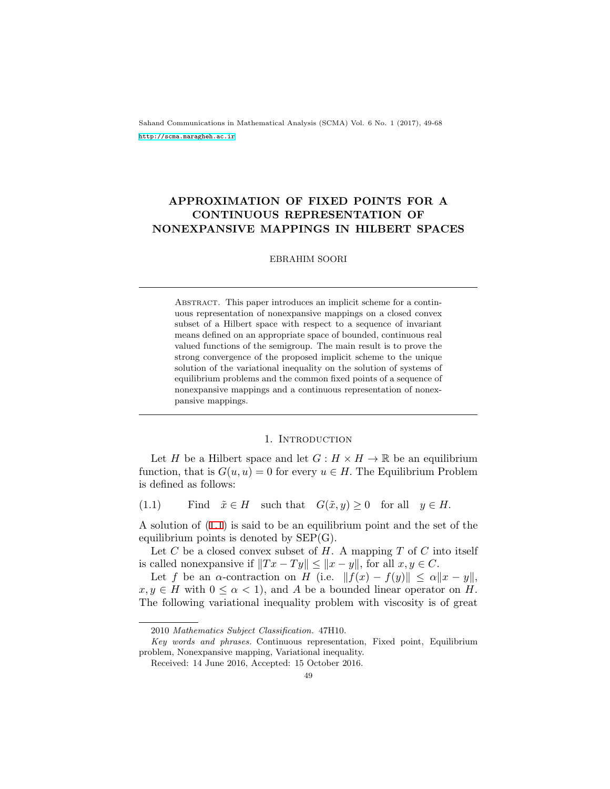Sahand Communications in Mathematical Analysis (SCMA) Vol. 6 No. 1 (2017), 49-68 <http://scma.maragheh.ac.ir>

# **APPROXIMATION OF FIXED POINTS FOR A CONTINUOUS REPRESENTATION OF NONEXPANSIVE MAPPINGS IN HILBERT SPACES**

# EBRAHIM SOORI

Abstract. This paper introduces an implicit scheme for a continuous representation of nonexpansive mappings on a closed convex subset of a Hilbert space with respect to a sequence of invariant means defined on an appropriate space of bounded, continuous real valued functions of the semigroup. The main result is to prove the strong convergence of the proposed implicit scheme to the unique solution of the variational inequality on the solution of systems of equilibrium problems and the common fixed points of a sequence of nonexpansive mappings and a continuous representation of nonexpansive mappings.

#### 1. INTRODUCTION

Let *H* be a Hilbert space and let  $G: H \times H \to \mathbb{R}$  be an equilibrium function, that is  $G(u, u) = 0$  for every  $u \in H$ . The Equilibrium Problem is defined as follows:

<span id="page-0-0"></span>(1.1) Find  $\tilde{x} \in H$  such that  $G(\tilde{x}, y) \geq 0$  for all  $y \in H$ .

A solution of [\(1.1](#page-0-0)) is said to be an equilibrium point and the set of the equilibrium points is denoted by  $\rm{SEP}(G)$ .

Let *C* be a closed convex subset of *H*. A mapping *T* of *C* into itself is called nonexpansive if  $||Tx - Ty|| \le ||x - y||$ , for all  $x, y \in C$ .

Let *f* be an *α*-contraction on *H* (i.e.  $||f(x) - f(y)|| \leq \alpha ||x - y||$ ,  $x, y \in H$  with  $0 \leq \alpha < 1$ , and *A* be a bounded linear operator on *H*. The following variational inequality problem with viscosity is of great

<sup>2010</sup> *Mathematics Subject Classification.* 47H10.

*Key words and phrases.* Continuous representation, Fixed point, Equilibrium problem, Nonexpansive mapping, Variational inequality.

Received: 14 June 2016, Accepted: 15 October 2016.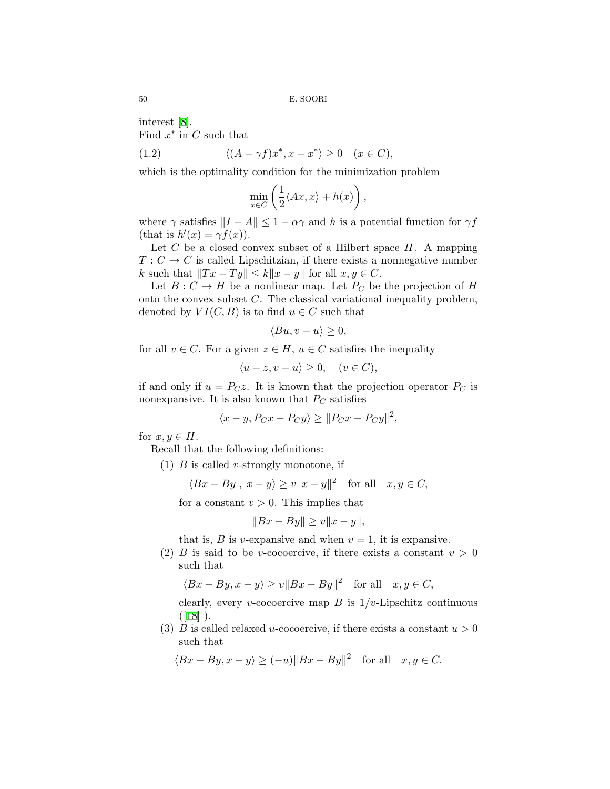interest[[8](#page-18-0)]. Find *x ∗* in *C* such that

(1.2) 
$$
\langle (A - \gamma f)x^*, x - x^* \rangle \ge 0 \quad (x \in C),
$$

which is the optimality condition for the minimization problem

<span id="page-1-0"></span>
$$
\min_{x \in C} \left( \frac{1}{2} \langle Ax, x \rangle + h(x) \right),\,
$$

where  $\gamma$  satisfies  $||I - A|| \leq 1 - \alpha \gamma$  and *h* is a potential function for  $\gamma f$  $(\text{that is } h'(x) = \gamma f(x)).$ 

Let *C* be a closed convex subset of a Hilbert space *H*. A mapping  $T: C \to C$  is called Lipschitzian, if there exists a nonnegative number *k* such that  $||Tx - Ty|| \le k||x - y||$  for all  $x, y \in C$ .

Let  $B: C \to H$  be a nonlinear map. Let  $P_C$  be the projection of *H* onto the convex subset *C*. The classical variational inequality problem, denoted by  $VI(C, B)$  is to find  $u \in C$  such that

$$
\langle Bu, v - u \rangle \ge 0,
$$

for all  $v \in C$ . For a given  $z \in H$ ,  $u \in C$  satisfies the inequality

$$
\langle u-z, v-u \rangle \ge 0, \quad (v \in C),
$$

if and only if  $u = P_C z$ . It is known that the projection operator  $P_C$  is nonexpansive. It is also known that  $P_C$  satisfies

$$
\langle x - y, P_C x - P_C y \rangle \ge ||P_C x - P_C y||^2,
$$

for  $x, y \in H$ .

Recall that the following definitions:

(1) *B* is called *v*-strongly monotone, if

$$
\langle Bx - By, x - y \rangle \ge v \|x - y\|^2
$$
 for all  $x, y \in C$ ,

for a constant  $v > 0$ . This implies that

$$
||Bx - By|| \ge v||x - y||,
$$

that is, *B* is *v*-expansive and when  $v = 1$ , it is expansive.

(2) *B* is said to be *v*-cocoercive, if there exists a constant  $v > 0$ such that

$$
\langle Bx - By, x - y \rangle \ge v \|Bx - By\|^2 \quad \text{for all} \quad x, y \in C,
$$

clearly, every *v*-cocoercive map  $B$  is  $1/v$ -Lipschitz continuous  $([18]).$  $([18]).$  $([18]).$ 

(3) *B* is called relaxed *u*-cocoercive, if there exists a constant  $u > 0$ such that

$$
\langle Bx - By, x - y \rangle \ge (-u) \|Bx - By\|^2 \quad \text{for all} \quad x, y \in C.
$$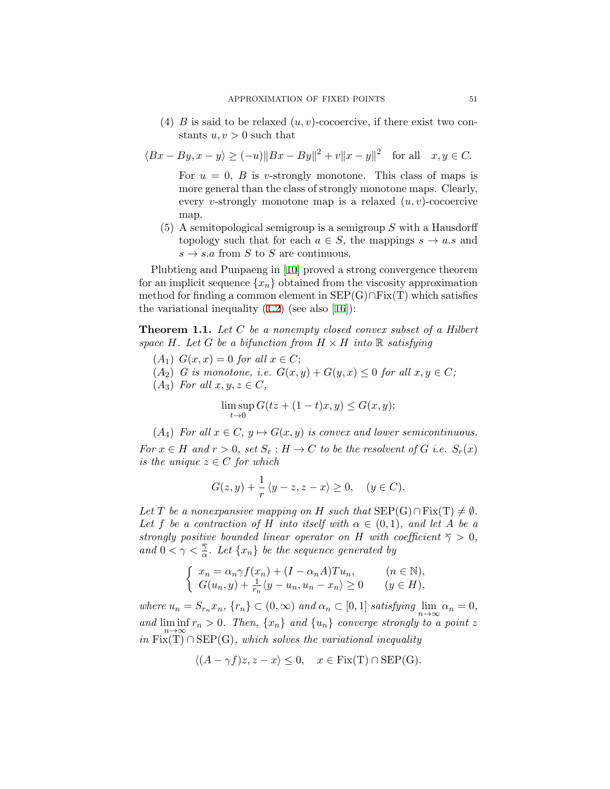(4) *B* is said to be relaxed  $(u, v)$ -cocoercive, if there exist two constants  $u, v > 0$  such that

$$
\langle Bx - By, x - y \rangle \ge (-u) \|Bx - By\|^2 + v \|x - y\|^2 \quad \text{for all} \quad x, y \in C.
$$
  
For  $u = 0$ , B is v-strongly monotone. This class of maps is

more general than the class of strongly monotone maps. Clearly, every *v*-strongly monotone map is a relaxed (*u, v*)-cocoercive map.

(5) A semitopological semigroup is a semigroup *S* with a Hausdorff topology such that for each  $a \in S$ , the mappings  $s \to a.s$  and  $s \rightarrow s.a$  from *S* to *S* are continuous.

Plubtieng and Punpaeng in [\[10](#page-18-1)] proved a strong convergence theorem for an implicit sequence  $\{x_n\}$  obtained from the viscosity approximation method for finding a common element in SEP(G)*∩*Fix(T) which satisfies thevariational inequality  $(1.2)$  $(1.2)$  (see also [\[16](#page-19-1)]):

**Theorem 1.1.** *Let C be a nonempty closed convex subset of a Hilbert space*  $H$ *. Let*  $G$  *be a bifunction from*  $H \times H$  *into*  $\mathbb{R}$  *satisfying* 

- $(A_1)$   $G(x, x) = 0$  *for all*  $x \in C$ ;
- $(A_2)$  *G* is monotone, i.e.  $G(x, y) + G(y, x) \leq 0$  for all  $x, y \in C$ ;
- $(A_3)$  *For all*  $x, y, z \in C$ *,*

$$
\limsup_{t \to 0} G(tz + (1-t)x, y) \le G(x, y);
$$

 $(A_4)$  *For all*  $x \in C$ ,  $y \mapsto G(x, y)$  *is convex and lower semicontinuous.* 

*For*  $x \in H$  *and*  $r > 0$ *, set*  $S_r : H \to C$  *to be the resolvent of*  $G$  *i.e.*  $S_r(x)$ *is the unique*  $z \in C$  *for which* 

$$
G(z, y) + \frac{1}{r} \langle y - z, z - x \rangle \ge 0, \quad (y \in C).
$$

*Let T be a nonexpansive mapping on H such that*  $\text{SEP}(G) \cap \text{Fix}(T) \neq \emptyset$ *.* Let *f* be a contraction of *H* into itself with  $\alpha \in (0,1)$ , and let *A* be a *strongly positive bounded linear operator on H with coefficient*  $\overline{\gamma} > 0$ *, and*  $0 < \gamma < \frac{\overline{\gamma}}{\alpha}$ *. Let*  $\{x_n\}$  *be the sequence generated by* 

$$
\begin{cases}\n x_n = \alpha_n \gamma f(x_n) + (I - \alpha_n A) T u_n, & (n \in \mathbb{N}), \\
G(u_n, y) + \frac{1}{r_n} \langle y - u_n, u_n - x_n \rangle \ge 0 & (y \in H),\n\end{cases}
$$

where  $u_n = S_{r_n} x_n$ ,  $\{r_n\} \subset (0, \infty)$  and  $\alpha_n \subset [0, 1]$  satisfying  $\lim_{n \to \infty} \alpha_n = 0$ , *and* lim inf  $\liminf_{n \to \infty} r_n > 0$ . Then,  $\{x_n\}$  and  $\{u_n\}$  converge strongly to a point *z in* Fix(T) *∩* SEP(G)*, which solves the variational inequality*

$$
\langle (A - \gamma f)z, z - x \rangle \le 0, \quad x \in \text{Fix(T)} \cap \text{SEP(G)}.
$$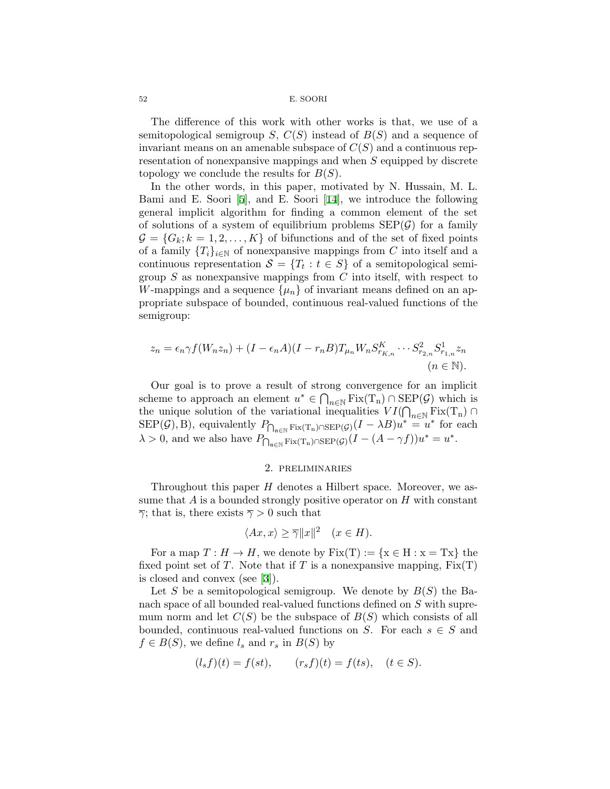The difference of this work with other works is that, we use of a semitopological semigroup *S*, *C*(*S*) instead of *B*(*S*) and a sequence of invariant means on an amenable subspace of  $C(S)$  and a continuous representation of nonexpansive mappings and when *S* equipped by discrete topology we conclude the results for *B*(*S*).

In the other words, in this paper, motivated by N. Hussain, M. L. Bami and E. Soori [\[5\]](#page-18-2), and E. Soori[[14\]](#page-19-2), we introduce the following general implicit algorithm for finding a common element of the set of solutions of a system of equilibrium problems  $\text{SEP}(\mathcal{G})$  for a family  $\mathcal{G} = \{G_k; k = 1, 2, \ldots, K\}$  of bifunctions and of the set of fixed points of a family  ${T_i}_{i \in \mathbb{N}}$  of nonexpansive mappings from *C* into itself and a continuous representation  $S = \{T_t : t \in S\}$  of a semitopological semigroup *S* as nonexpansive mappings from *C* into itself, with respect to *W*-mappings and a sequence  $\{\mu_n\}$  of invariant means defined on an appropriate subspace of bounded, continuous real-valued functions of the semigroup:

$$
z_n = \epsilon_n \gamma f(W_n z_n) + (I - \epsilon_n A)(I - r_n B) T_{\mu_n} W_n S_{r_{K,n}}^K \cdots S_{r_{2,n}}^2 S_{r_{1,n}}^1 z_n
$$
  
( $n \in \mathbb{N}$ ).

Our goal is to prove a result of strong convergence for an implicit scheme to approach an element  $u^* \in \bigcap_{n \in \mathbb{N}} \text{Fix}(T_n) \cap \text{SEP}(\mathcal{G})$  which is the unique solution of the variational inequalities  $VI(\bigcap_{n\in\mathbb{N}} \text{Fix}(T_n) \cap \text{GFD}(\mathcal{O})$  $\text{SEP}(\mathcal{G}), \text{B}$ , equivalently  $P_{\bigcap_{\mathfrak{n} \in \mathbb{N}} \text{Fix}(\mathrm{T}_n) \cap \text{SEP}(\mathcal{G})}(I - \lambda B)u^* = u^*$  for each  $\lambda > 0$ , and we also have  $P_{\bigcap_{n \in \mathbb{N}} \text{Fix}(T_n) \cap \text{SEP}(\mathcal{G})}(I - (A - \gamma f))u^* = u^*.$ 

## 2. preliminaries

Throughout this paper *H* denotes a Hilbert space. Moreover, we assume that *A* is a bounded strongly positive operator on *H* with constant  $\overline{\gamma}$ ; that is, there exists  $\overline{\gamma} > 0$  such that

$$
\langle Ax, x \rangle \ge \overline{\gamma} ||x||^2 \quad (x \in H).
$$

For a map  $T: H \to H$ , we denote by  $Fix(T) := \{x \in H : x = Tx\}$  the fixed point set of *T*. Note that if *T* is a nonexpansive mapping,  $Fix(T)$ is closed and convex (see[[3\]](#page-18-3)).

Let *S* be a semitopological semigroup. We denote by *B*(*S*) the Banach space of all bounded real-valued functions defined on *S* with supremum norm and let  $C(S)$  be the subspace of  $B(S)$  which consists of all bounded, continuous real-valued functions on *S*. For each  $s \in S$  and  $f \in B(S)$ , we define  $l_s$  and  $r_s$  in  $B(S)$  by

$$
(l_s f)(t) = f(st),
$$
  $(r_s f)(t) = f(ts),$   $(t \in S).$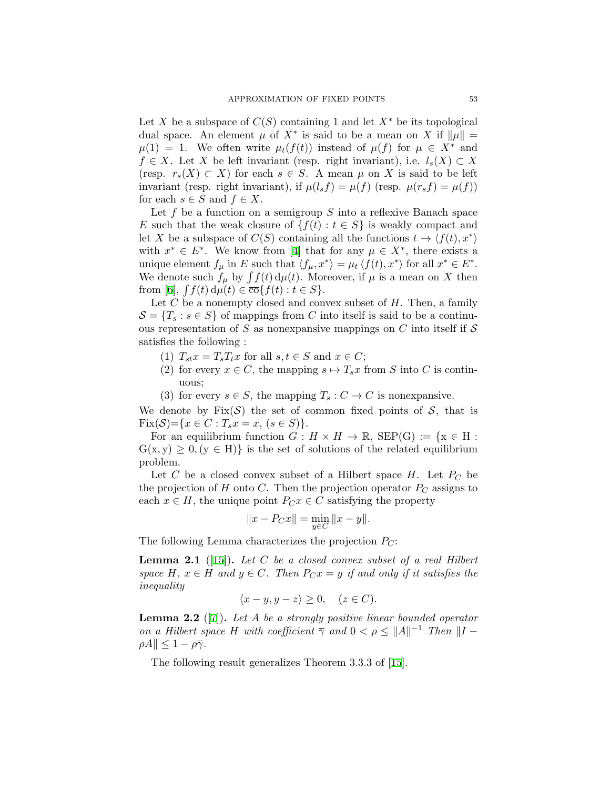Let *X* be a subspace of  $C(S)$  containing 1 and let  $X^*$  be its topological dual space. An element  $\mu$  of  $X^*$  is said to be a mean on  $X$  if  $\|\mu\| =$  $\mu(1) = 1$ . We often write  $\mu_t(f(t))$  instead of  $\mu(f)$  for  $\mu \in X^*$  and *f*  $∈$  *X*. Let *X* be left invariant (resp. right invariant), i.e.  $l_s(X) ⊂ X$ (resp.  $r_s(X) \subset X$ ) for each  $s \in S$ . A mean  $\mu$  on X is said to be left invariant (resp. right invariant), if  $\mu(l_s f) = \mu(f)$  (resp.  $\mu(r_s f) = \mu(f)$ ) for each  $s \in S$  and  $f \in X$ .

Let f be a function on a semigroup S into a reflexive Banach space *E* such that the weak closure of  $\{f(t): t \in S\}$  is weakly compact and let *X* be a subspace of  $C(S)$  containing all the functions  $t \to \langle f(t), x^* \rangle$ with $x^* \in E^*$ . We know from [[4](#page-18-4)] that for any  $\mu \in X^*$ , there exists a unique element  $f_{\mu}$  in E such that  $\langle f_{\mu}, x^* \rangle = \mu_t \langle f(t), x^* \rangle$  for all  $x^* \in E^*$ . We denote such  $f_\mu$  by  $\int f(t) d\mu(t)$ . Moreover, if  $\mu$  is a mean on X then  $\text{from } [6], \int f(t) \, d\mu(t) \in \overline{\text{co}}\{f(t) : t \in S\}.$  $\text{from } [6], \int f(t) \, d\mu(t) \in \overline{\text{co}}\{f(t) : t \in S\}.$  $\text{from } [6], \int f(t) \, d\mu(t) \in \overline{\text{co}}\{f(t) : t \in S\}.$ 

Let *C* be a nonempty closed and convex subset of *H*. Then, a family  $S = \{T_s : s \in S\}$  of mappings from *C* into itself is said to be a continuous representation of *S* as nonexpansive mappings on *C* into itself if *S* satisfies the following :

- $(T)$   $T_{st}x = T_sT_tx$  for all  $s, t \in S$  and  $x \in C$ ;
- (2) for every  $x \in C$ , the mapping  $s \mapsto T_s x$  from *S* into *C* is continuous;
- (3) for every  $s \in S$ , the mapping  $T_s : C \to C$  is nonexpansive.

We denote by  $Fix(\mathcal{S})$  the set of common fixed points of  $\mathcal{S}$ , that is  $Fix(\mathcal{S}) = \{x \in C : T_s x = x, (s \in S)\}.$ 

For an equilibrium function  $G: H \times H \to \mathbb{R}$ ,  $\text{SEP}(G) := \{x \in H :$  $G(x, y) \geq 0, (y \in H)$  is the set of solutions of the related equilibrium problem.

Let *C* be a closed convex subset of a Hilbert space  $H$ . Let  $P_C$  be the projection of *H* onto *C*. Then the projection operator  $P_C$  assigns to each  $x \in H$ , the unique point  $P_C x \in C$  satisfying the property

$$
||x - P_C x|| = \min_{y \in C} ||x - y||.
$$

The following Lemma characterizes the projection *PC*:

<span id="page-4-1"></span>**Lemma 2.1** ([[15\]](#page-19-3))**.** *Let C be a closed convex subset of a real Hilbert space*  $H, x \in H$  *and*  $y \in C$ *. Then*  $P_C x = y$  *if and only if it satisfies the inequality*

$$
\langle x - y, y - z \rangle \ge 0, \quad (z \in C).
$$

<span id="page-4-0"></span>**Lemma 2.2** ([[7](#page-18-6)])**.** *Let A be a strongly positive linear bounded operator on a Hilbert space H* with coefficient  $\overline{\gamma}$  *and*  $0 < \rho \le ||A||^{-1}$  *Then*  $||I \rho A$  $\leq 1 - \rho \overline{\gamma}$ *.* 

The following result generalizes Theorem 3.3.3 of[[15](#page-19-3)].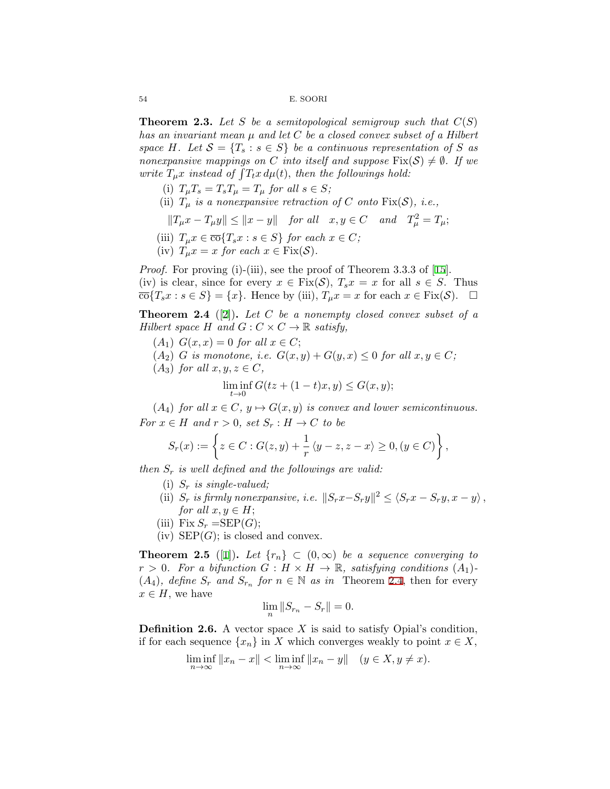<span id="page-5-1"></span>**Theorem 2.3.** Let S be a semitopological semigroup such that  $C(S)$ *has an invariant mean µ and let C be a closed convex subset of a Hilbert space H.* Let  $S = \{T_s : s \in S\}$  *be a continuous representation of S as nonexpansive mappings on C into itself and suppose*  $Fix(\mathcal{S}) \neq \emptyset$ . If we *write*  $T_{\mu}x$  *instead of*  $\int T_{t}x d\mu(t)$ *, then the followings hold:* 

- (i)  $T_{\mu}T_s = T_sT_{\mu} = T_{\mu}$  for all  $s \in S$ ;
- (ii)  $T_\mu$  *is a nonexpansive retraction of C onto* Fix( $S$ ), *i.e.*,
	- $||T_{\mu}x T_{\mu}y|| \le ||x y||$  *for all*  $x, y \in C$  *and*  $T_{\mu}^2 = T_{\mu}$ ;
- (iii)  $T_{\mu}x \in \overline{\text{co}}\{T_sx : s \in S\}$  *for each*  $x \in C$ *;*
- (iv)  $T_{\mu}x = x$  *for each*  $x \in \text{Fix}(\mathcal{S})$ .

*Proof.*For proving (i)-(iii), see the proof of Theorem 3.3.3 of [[15](#page-19-3)]. (iv) is clear, since for every  $x \in Fix(\mathcal{S})$ ,  $T_s x = x$  for all  $s \in S$ . Thus  $\overline{\text{co}}\{T_s x : s \in S\} = \{x\}.$  Hence by (iii),  $T_\mu x = x$  for each  $x \in \text{Fix}(\mathcal{S})$ . □

<span id="page-5-0"></span>**Theorem 2.4** ([[2](#page-18-7)])**.** *Let C be a nonempty closed convex subset of a Hilbert space H* and  $G: C \times C \rightarrow \mathbb{R}$  *satisfy,* 

- $(A_1)$   $G(x, x) = 0$  *for all*  $x \in C$ ;
- $(A_2)$  *G is monotone, i.e.*  $G(x, y) + G(y, x) \leq 0$  *for all*  $x, y \in C$ ;
- $(A_3)$  *for all*  $x, y, z \in C$ *,* lim inf *t→*0  $G(tz + (1-t)x, y) \leq G(x, y);$

 $(A_4)$  *for all*  $x \in C$ *,*  $y \mapsto G(x, y)$  *is convex and lower semicontinuous. For*  $x \in H$  *and*  $r > 0$ *, set*  $S_r : H \to C$  *to be* 

$$
S_r(x) := \left\{ z \in C : G(z, y) + \frac{1}{r} \langle y - z, z - x \rangle \ge 0, (y \in C) \right\},\
$$

*then S<sup>r</sup> is well defined and the followings are valid:*

- (i) *S<sup>r</sup> is single-valued;*
- (ii)  $S_r$  is firmly nonexpansive, i.e.  $||S_rx-S_ry||^2 \leq \langle S_rx-S_ry, x-y \rangle$ , *for all*  $x, y \in H$ ;
- (iii) Fix  $S_r = \text{SEP}(G)$ ;
- (iv)  $\text{SEP}(G)$ ; is closed and convex.

**Theorem 2.5** ([\[1\]](#page-18-8)). Let  $\{r_n\} \subset (0,\infty)$  be a sequence converging to  $r > 0$ *. For a bifunction*  $G : H \times H \to \mathbb{R}$ *, satisfying conditions*  $(A_1)$ *-* $(A_4)$ *, define*  $S_r$  *and*  $S_{r_n}$  *for*  $n \in \mathbb{N}$  *as in* Theorem [2.4](#page-5-0), then for every  $x \in H$ , we have

$$
\lim_{n}||S_{r_n}-S_r||=0.
$$

**Definition 2.6.** A vector space *X* is said to satisfy Opial's condition, if for each sequence  $\{x_n\}$  in *X* which converges weakly to point  $x \in X$ ,

$$
\liminf_{n \to \infty} ||x_n - x|| < \liminf_{n \to \infty} ||x_n - y|| \quad (y \in X, y \neq x).
$$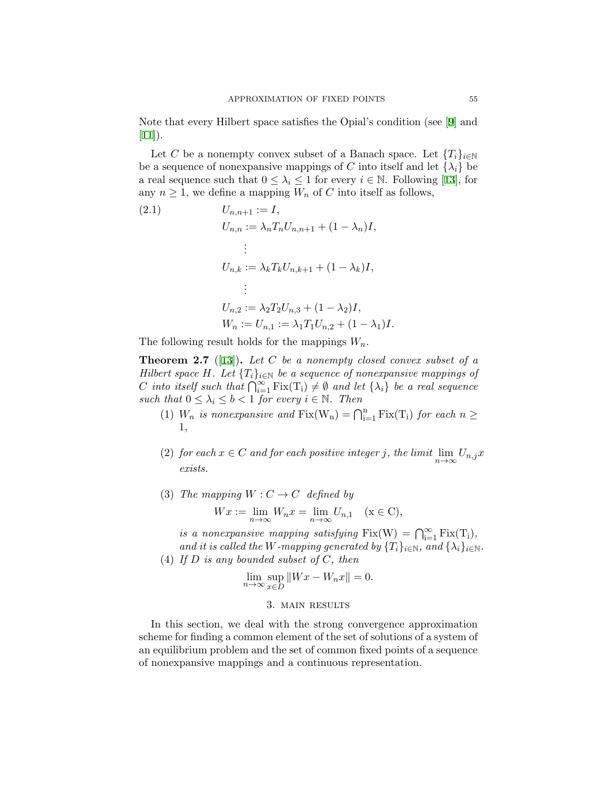Note that every Hilbert space satisfies the Opial's condition (see[[9\]](#page-18-9) and  $[11]$  $[11]$  $[11]$ ).

Let *C* be a nonempty convex subset of a Banach space. Let  ${T_i}_{i \in \mathbb{N}}$ be a sequence of nonexpansive mappings of *C* into itself and let  $\{\lambda_i\}$  be a real sequence such that  $0 \leq \lambda_i \leq 1$  for every  $i \in \mathbb{N}$ . Following [\[13\]](#page-18-11), for any  $n \geq 1$ , we define a mapping  $W_n$  of C into itself as follows,

<span id="page-6-0"></span>(2.1) 
$$
U_{n,n+1} := I,
$$

$$
U_{n,n} := \lambda_n T_n U_{n,n+1} + (1 - \lambda_n) I,
$$

$$
\vdots
$$

$$
U_{n,k} := \lambda_k T_k U_{n,k+1} + (1 - \lambda_k) I,
$$

$$
\vdots
$$

$$
U_{n,2} := \lambda_2 T_2 U_{n,3} + (1 - \lambda_2) I,
$$

$$
W_n := U_{n,1} := \lambda_1 T_1 U_{n,2} + (1 - \lambda_1) I.
$$

The following result holds for the mappings *Wn.*

<span id="page-6-1"></span>**Theorem 2.7** ([\[13](#page-18-11)])**.** *Let C be a nonempty closed convex subset of a Hilbert space H.* Let  $\{T_i\}_{i\in\mathbb{N}}$  *be a sequence of nonexpansive mappings of C into itself such that*  $\bigcap_{i=1}^{\infty}$  Fix(T<sub>i</sub>) ≠  $\emptyset$  *and let* { $\lambda_i$ } *be a real sequence such that*  $0 \leq \lambda_i \leq b < 1$  *for every*  $i \in \mathbb{N}$ *. Then* 

- (1)  $W_n$  *is nonexpansive and*  $Fix(W_n) = \bigcap_{i=1}^n Fix(T_i)$  *for each*  $n \geq$ 1*,*
- (2) *for each*  $x \in C$  *and for each positive integer j, the limit*  $\lim_{n \to \infty} U_{n,j}x$ *exists.*
- (3) *The mapping*  $W: C \rightarrow C$  *defined by*

$$
Wx := \lim_{n \to \infty} W_n x = \lim_{n \to \infty} U_{n,1} \quad (x \in C),
$$

*is a nonexpansive mapping satisfying*  $Fix(W) = \bigcap_{i=1}^{\infty} Fix(T_i)$ *, and it is called the W-mapping generated by*  $\{T_i\}_{i\in\mathbb{N}}$ *, and*  $\{\lambda_i\}_{i\in\mathbb{N}}$ *.* 

(4) *If D is any bounded subset of C, then*

$$
\lim_{n \to \infty} \sup_{x \in D} ||Wx - W_n x|| = 0.
$$

#### 3. main results

In this section, we deal with the strong convergence approximation scheme for finding a common element of the set of solutions of a system of an equilibrium problem and the set of common fixed points of a sequence of nonexpansive mappings and a continuous representation.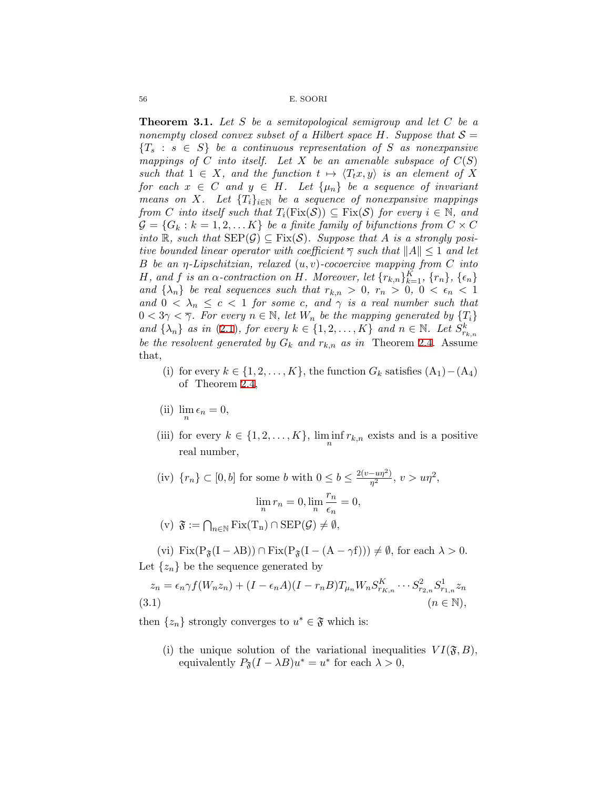<span id="page-7-1"></span>**Theorem 3.1.** *Let S be a semitopological semigroup and let C be a nonempty closed convex subset of a Hilbert space H. Suppose that*  $S =$  ${T_s : s \in S}$  *be a continuous representation of S as nonexpansive mappings of C into itself.* Let *X* be an amenable subspace of  $C(S)$ *such that*  $1 \in X$ *, and the function*  $t \mapsto \langle T_t x, y \rangle$  *is an element of* X *for each*  $x \in C$  *and*  $y \in H$ *. Let*  $\{\mu_n\}$  *be a sequence of invariant means on X.* Let  $\{T_i\}_{i\in\mathbb{N}}$  be a sequence of nonexpansive mappings *from C into itself such that*  $T_i(Fix(\mathcal{S})) \subseteq Fix(\mathcal{S})$  *for every*  $i \in \mathbb{N}$ *, and*  $\mathcal{G} = \{G_k : k = 1, 2, \ldots K\}$  *be a finite family of bifunctions from*  $C \times C$ *into* R, such that  $\text{SEP}(\mathcal{G}) \subseteq \text{Fix}(\mathcal{S})$ *. Suppose that A is a strongly positive bounded linear operator with coefficient*  $\overline{\gamma}$  *such that*  $||A|| \leq 1$  *and let B be an η-Lipschitzian, relaxed* (*u, v*)*-cocoercive mapping from C into* H, and f is an  $\alpha$ -contraction on H. Moreover, let  $\{r_{k,n}\}_{k=1}^K$ ,  $\{r_n\}$ ,  $\{\epsilon_n\}$ *and*  $\{\lambda_n\}$  *be real sequences such that*  $r_{k,n} > 0$ ,  $r_n > 0$ ,  $0 < \epsilon_n < 1$ *and*  $0 < \lambda_n \leq c < 1$  *for some c, and*  $\gamma$  *is a real number such that*  $0 < 3\gamma < \overline{\gamma}$ . For every  $n \in \mathbb{N}$ , let  $W_n$  be the mapping generated by  $\{T_i\}$ *and*  $\{\lambda_n\}$  *as in* ([2.1\)](#page-6-0)*, for every*  $k \in \{1, 2, \ldots, K\}$  *and*  $n \in \mathbb{N}$ *. Let*  $S^k_{r_{k,n}}$ *be the resolvent generated by*  $G_k$  *and*  $r_{k,n}$  *as in* Theorem [2.4](#page-5-0). Assume that,

- (i) for every  $k \in \{1, 2, \ldots, K\}$ , the function  $G_k$  satisfies  $(A_1) (A_4)$ of Theorem [2.4,](#page-5-0)
- (ii)  $\lim_{n} \epsilon_n = 0$ ,
- (iii) for every  $k \in \{1, 2, \ldots, K\}$ ,  $\liminf_{n} r_{k,n}$  exists and is a positive real number,
- (iv)  ${r_n}$  ⊂ [0, *b*] for some *b* with  $0 ≤ b ≤ \frac{2(v uη^2)}{n^2}$  $\frac{-u\eta^2}{\eta^2}, v > u\eta^2,$

$$
\lim_{n} r_n = 0, \lim_{n} \frac{r_n}{\epsilon_n} = 0,
$$

 $(v)$   $\mathfrak{F} := \bigcap_{n \in \mathbb{N}} \text{Fix}(T_n) \cap \text{SEP}(\mathcal{G}) \neq \emptyset,$ 

(vi)  $\text{Fix}(P_{\mathfrak{F}}(I - \lambda B)) \cap \text{Fix}(P_{\mathfrak{F}}(I - (A - \gamma f))) \neq \emptyset$ , for each  $\lambda > 0$ . Let  $\{z_n\}$  be the sequence generated by

<span id="page-7-0"></span>
$$
z_n = \epsilon_n \gamma f(W_n z_n) + (I - \epsilon_n A)(I - r_n B) T_{\mu_n} W_n S_{r_{K,n}}^K \cdots S_{r_{2,n}}^2 S_{r_{1,n}}^1 z_n
$$
  
(3.1) 
$$
(n \in \mathbb{N}),
$$

then  $\{z_n\}$  strongly converges to  $u^* \in \mathfrak{F}$  which is:

(i) the unique solution of the variational inequalities  $VI(\mathfrak{F},B)$ , equivalently  $P_{\mathfrak{F}}(I - \lambda B)u^* = u^*$  for each  $\lambda > 0$ ,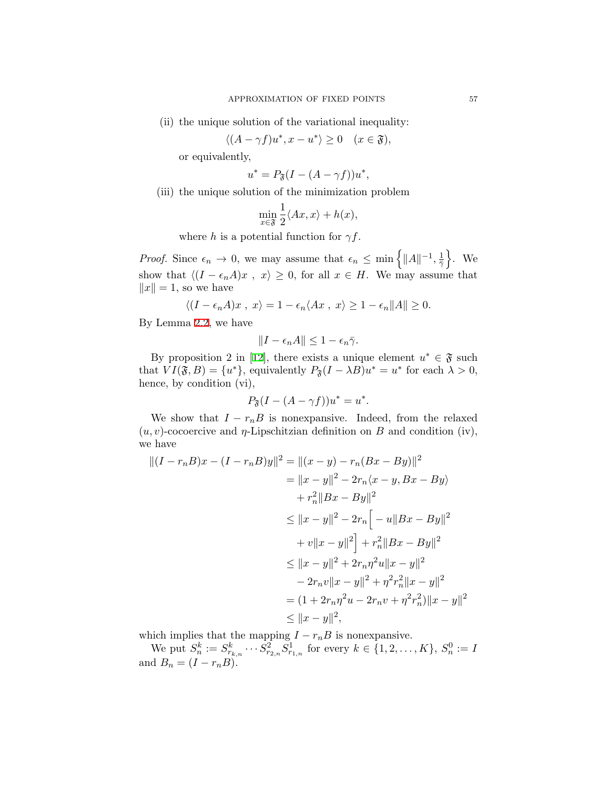(ii) the unique solution of the variational inequality:

$$
\langle (A - \gamma f)u^*, x - u^* \rangle \ge 0 \quad (x \in \mathfrak{F}),
$$

or equivalently,

$$
u^* = P_{\mathfrak{F}}(I - (A - \gamma f))u^*,
$$

(iii) the unique solution of the minimization problem

$$
\min_{x \in \mathfrak{F}} \frac{1}{2} \langle Ax, x \rangle + h(x),
$$

where *h* is a potential function for  $\gamma f$ .

*Proof.* Since  $\epsilon_n \to 0$ , we may assume that  $\epsilon_n \leq \min\left\{||A||^{-1}, \frac{1}{2}\right\}$  $\bar{γ}$ } . We show that  $\langle (I - \epsilon_n A)x, x \rangle \geq 0$ , for all  $x \in H$ . We may assume that  $||x|| = 1$ , so we have

$$
\langle (I-\epsilon_n A)x \;,\; x\rangle = 1-\epsilon_n \langle Ax \;,\; x\rangle \geq 1-\epsilon_n \|A\| \geq 0.
$$

By Lemma [2.2,](#page-4-0) we have

$$
||I - \epsilon_n A|| \leq 1 - \epsilon_n \bar{\gamma}.
$$

By proposition 2 in [\[12](#page-18-12)], there exists a unique element  $u^* \in \mathfrak{F}$  such that  $VI(\mathfrak{F}, B) = \{u^*\}$ , equivalently  $P_{\mathfrak{F}}(I - \lambda B)u^* = u^*$  for each  $\lambda > 0$ , hence, by condition (vi),

$$
P_{\mathfrak{F}}(I - (A - \gamma f))u^* = u^*.
$$

We show that  $I - r_nB$  is nonexpansive. Indeed, from the relaxed  $(u, v)$ -cocoercive and *η*-Lipschitzian definition on *B* and condition (iv), we have

$$
||(I - r_n B)x - (I - r_n B)y||^2 = ||(x - y) - r_n(Bx - By)||^2
$$
  
\n
$$
= ||x - y||^2 - 2r_n\langle x - y, Bx - By \rangle
$$
  
\n
$$
+ r_n^2 ||Bx - By||^2
$$
  
\n
$$
\le ||x - y||^2 - 2r_n \Big[ -u||Bx - By||^2
$$
  
\n
$$
+ v||x - y||^2 \Big] + r_n^2 ||Bx - By||^2
$$
  
\n
$$
\le ||x - y||^2 + 2r_n \eta^2 u ||x - y||^2
$$
  
\n
$$
- 2r_n v ||x - y||^2 + \eta^2 r_n^2 ||x - y||^2
$$
  
\n
$$
= (1 + 2r_n \eta^2 u - 2r_n v + \eta^2 r_n^2) ||x - y||^2
$$
  
\n
$$
\le ||x - y||^2,
$$

which implies that the mapping  $I - r_nB$  is nonexpansive.

We put  $S_n^k := S_{r_{k,n}}^k \cdots S_{r_{2,n}}^2 S_{r_{1,n}}^1$  for every  $k \in \{1, 2, ..., K\}$ ,  $S_n^0 := I$ and  $B_n = (I - r_n B)$ .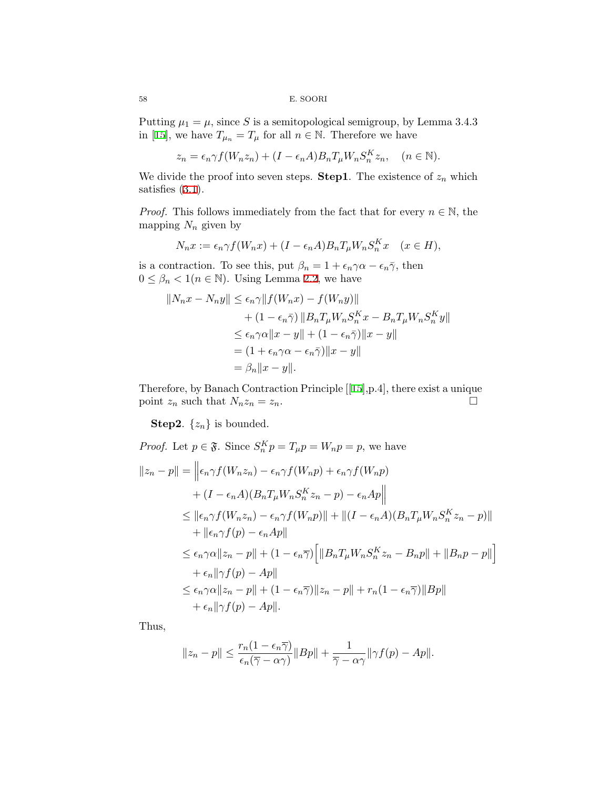Putting  $\mu_1 = \mu$ , since *S* is a semitopological semigroup, by Lemma 3.4.3 in [\[15](#page-19-3)], we have  $T_{\mu_n} = T_{\mu}$  for all  $n \in \mathbb{N}$ . Therefore we have

$$
z_n = \epsilon_n \gamma f(W_n z_n) + (I - \epsilon_n A) B_n T_\mu W_n S_n^K z_n, \quad (n \in \mathbb{N}).
$$

We divide the proof into seven steps. **Step1**. The existence of  $z_n$  which satisfies([3.1\)](#page-7-0).

*Proof.* This follows immediately from the fact that for every  $n \in \mathbb{N}$ , the mapping  $N_n$  given by

$$
N_n x := \epsilon_n \gamma f(W_n x) + (I - \epsilon_n A) B_n T_\mu W_n S_n^K x \quad (x \in H),
$$

is a contraction. To see this, put  $\beta_n = 1 + \epsilon_n \gamma \alpha - \epsilon_n \bar{\gamma}$ , then  $0 \leq \beta_n < 1(n \in \mathbb{N})$ . Using Lemma [2.2,](#page-4-0) we have

$$
||N_n x - N_n y|| \le \epsilon_n \gamma ||f(W_n x) - f(W_n y)||
$$
  
+  $(1 - \epsilon_n \overline{\gamma}) ||B_n T_\mu W_n S_n^K x - B_n T_\mu W_n S_n^K y||$   
 $\le \epsilon_n \gamma \alpha ||x - y|| + (1 - \epsilon_n \overline{\gamma}) ||x - y||$   
=  $(1 + \epsilon_n \gamma \alpha - \epsilon_n \overline{\gamma}) ||x - y||$   
=  $\beta_n ||x - y||$ .

Therefore, by Banach Contraction Principle[[[15\]](#page-19-3),p.4], there exist a unique point  $z_n$  such that  $N_n z_n = z_n$ . □

**Step2.**  $\{z_n\}$  is bounded.

Proof. Let 
$$
p \in \mathfrak{F}
$$
. Since  $S_n^K p = T_\mu p = W_n p = p$ , we have  
\n
$$
||z_n - p|| = ||\epsilon_n \gamma f(W_n z_n) - \epsilon_n \gamma f(W_n p) + \epsilon_n \gamma f(W_n p)
$$
\n
$$
+ (I - \epsilon_n A)(B_n T_\mu W_n S_n^K z_n - p) - \epsilon_n A_p ||
$$
\n
$$
\leq ||\epsilon_n \gamma f(W_n z_n) - \epsilon_n \gamma f(W_n p)|| + ||(I - \epsilon_n A)(B_n T_\mu W_n S_n^K z_n - p)||
$$
\n
$$
+ ||\epsilon_n \gamma f(p) - \epsilon_n A p||
$$
\n
$$
\leq \epsilon_n \gamma \alpha ||z_n - p|| + (1 - \epsilon_n \overline{\gamma}) \Big[ ||B_n T_\mu W_n S_n^K z_n - B_n p|| + ||B_n p - p|| \Big]
$$
\n
$$
+ \epsilon_n ||\gamma f(p) - Ap||
$$
\n
$$
\leq \epsilon_n \gamma \alpha ||z_n - p|| + (1 - \epsilon_n \overline{\gamma}) ||z_n - p|| + r_n (1 - \epsilon_n \overline{\gamma}) ||B p||
$$
\n
$$
+ \epsilon_n ||\gamma f(p) - Ap||.
$$

Thus,

$$
||z_n - p|| \le \frac{r_n(1 - \epsilon_n \overline{\gamma})}{\epsilon_n(\overline{\gamma} - \alpha \gamma)} ||Bp|| + \frac{1}{\overline{\gamma} - \alpha \gamma} ||\gamma f(p) - Ap||.
$$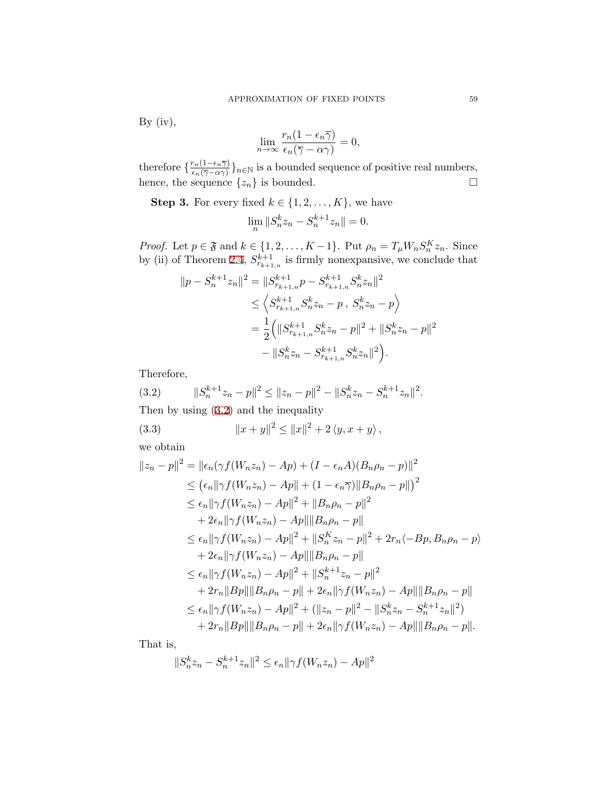By  $(iv)$ ,

$$
\lim_{n \to \infty} \frac{r_n(1 - \epsilon_n \overline{\gamma})}{\epsilon_n(\overline{\gamma} - \alpha \gamma)} = 0,
$$

therefore  $\frac{r_n(1-\epsilon_n\overline{\gamma})}{\epsilon_1(\overline{\gamma}-\alpha\gamma)}$  $\frac{r_n(1 - \epsilon_n \gamma)}{\epsilon_n(\overline{\gamma} - \alpha \gamma)}\}_n \in \mathbb{N}$  is a bounded sequence of positive real numbers, hence, the sequence  $\{z_n\}$  is bounded.  $\Box$ 

**Step 3.** For every fixed  $k \in \{1, 2, \ldots, K\}$ , we have

$$
\lim_{n} \|S_n^k z_n - S_n^{k+1} z_n\| = 0.
$$

*Proof.* Let  $p \in \mathfrak{F}$  and  $k \in \{1, 2, \ldots, K-1\}$ . Put  $\rho_n = T_\mu W_n S_n^K z_n$ . Since by (ii) of Theorem [2.4,](#page-5-0)  $S_{r_{k+1,n}}^{k+1}$  is firmly nonexpansive, we conclude that

$$
||p - S_n^{k+1}z_n||^2 = ||S_{r_{k+1,n}}^{k+1}p - S_{r_{k+1,n}}^{k+1}S_n^k z_n||^2
$$
  
\n
$$
\leq \left\langle S_{r_{k+1,n}}^{k+1}S_n^k z_n - p, S_n^k z_n - p \right\rangle
$$
  
\n
$$
= \frac{1}{2} \left( ||S_{r_{k+1,n}}^{k+1}S_n^k z_n - p||^2 + ||S_n^k z_n - p||^2 - ||S_n^k z_n - S_{r_{k+1,n}}^{k+1}S_n^k z_n||^2 \right).
$$

Therefore,

<span id="page-10-0"></span>(3.2) 
$$
||S_n^{k+1}z_n - p||^2 \le ||z_n - p||^2 - ||S_n^k z_n - S_n^{k+1} z_n||^2.
$$
  
Then by using (3.2) and the inequality

<span id="page-10-1"></span>(3.3) 
$$
||x + y||^{2} \le ||x||^{2} + 2 \langle y, x + y \rangle,
$$

we obtain

$$
||z_n - p||^2 = ||\epsilon_n(\gamma f(W_n z_n) - Ap) + (I - \epsilon_n A)(B_n \rho_n - p)||^2
$$
  
\n
$$
\leq (\epsilon_n || \gamma f(W_n z_n) - Ap|| + (1 - \epsilon_n \overline{\gamma}) ||B_n \rho_n - p||)^2
$$
  
\n
$$
\leq \epsilon_n || \gamma f(W_n z_n) - Ap||^2 + ||B_n \rho_n - p||^2
$$
  
\n
$$
+ 2\epsilon_n || \gamma f(W_n z_n) - Ap|| ||B_n \rho_n - p||
$$
  
\n
$$
\leq \epsilon_n || \gamma f(W_n z_n) - Ap||^2 + ||S_n^K z_n - p||^2 + 2r_n \langle -Bp, B_n \rho_n - p \rangle
$$
  
\n
$$
+ 2\epsilon_n || \gamma f(W_n z_n) - Ap|| ||B_n \rho_n - p||
$$
  
\n
$$
\leq \epsilon_n || \gamma f(W_n z_n) - Ap||^2 + ||S_n^{k+1} z_n - p||^2
$$
  
\n
$$
+ 2r_n ||Bp|| ||B_n \rho_n - p|| + 2\epsilon_n || \gamma f(W_n z_n) - Ap|| ||B_n \rho_n - p||
$$
  
\n
$$
\leq \epsilon_n || \gamma f(W_n z_n) - Ap||^2 + (||z_n - p||^2 - ||S_n^k z_n - S_n^{k+1} z_n||^2)
$$
  
\n
$$
+ 2r_n ||Bp|| ||B_n \rho_n - p|| + 2\epsilon_n || \gamma f(W_n z_n) - Ap|| ||B_n \rho_n - p||.
$$

That is,

$$
||S_n^k z_n - S_n^{k+1} z_n||^2 \le \epsilon_n ||\gamma f(W_n z_n) - A p||^2
$$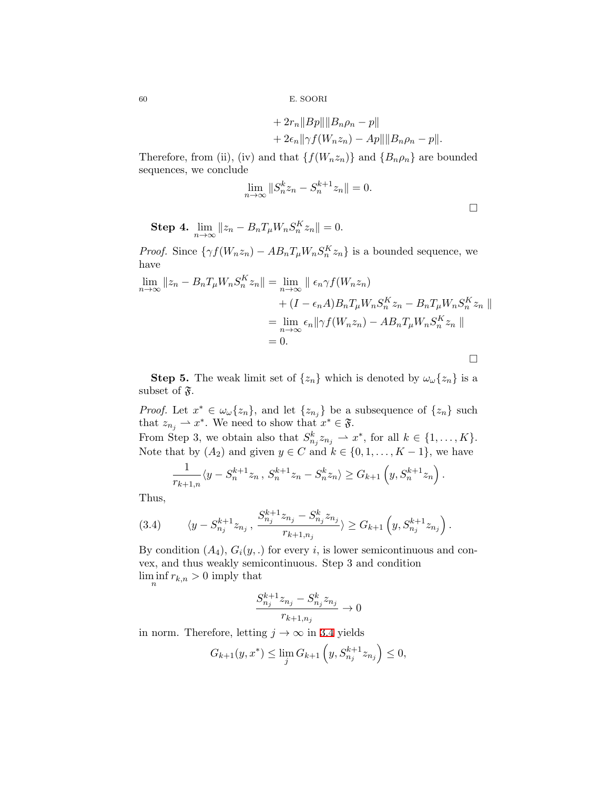+ 
$$
2r_n ||Bp|| ||B_n \rho_n - p||
$$
  
+  $2\epsilon_n ||\gamma f(W_n z_n) - Ap|| ||B_n \rho_n - p||$ .

Therefore, from (ii), (iv) and that  $\{f(W_n z_n)\}$  and  $\{B_n \rho_n\}$  are bounded sequences, we conclude

$$
\lim_{n \to \infty} ||S_n^k z_n - S_n^{k+1} z_n|| = 0.
$$

□

**Step 4.**  $\lim_{n \to \infty} ||z_n - B_n T_\mu W_n S_n^K z_n|| = 0.$ 

*Proof.* Since  $\{\gamma f(W_n z_n) - AB_n T_\mu W_n S_n^K z_n\}$  is a bounded sequence, we have

$$
\lim_{n \to \infty} ||z_n - B_n T_\mu W_n S_n^K z_n|| = \lim_{n \to \infty} ||\epsilon_n \gamma f(W_n z_n)
$$
  
+  $(I - \epsilon_n A) B_n T_\mu W_n S_n^K z_n - B_n T_\mu W_n S_n^K z_n ||$   
=  $\lim_{n \to \infty} \epsilon_n ||\gamma f(W_n z_n) - A B_n T_\mu W_n S_n^K z_n ||$   
= 0.

**Step 5.** The weak limit set of  $\{z_n\}$  which is denoted by  $\omega_\omega\{z_n\}$  is a subset of  $\mathfrak{F}.$ 

*Proof.* Let  $x^* \in \omega_\omega\{z_n\}$ , and let  $\{z_{n_j}\}$  be a subsequence of  $\{z_n\}$  such that  $z_{n_j} \rightharpoonup x^*$ . We need to show that  $x^* \in \mathfrak{F}$ .

From Step 3, we obtain also that  $S^k_{n_j} z_{n_j} \rightharpoonup x^*$ , for all  $k \in \{1, \ldots, K\}$ . Note that by  $(A_2)$  and given  $y \in C$  and  $k \in \{0, 1, \ldots, K-1\}$ , we have

$$
\frac{1}{r_{k+1,n}}\langle y - S_n^{k+1}z_n, S_n^{k+1}z_n - S_n^k z_n \rangle \ge G_{k+1}\left(y, S_n^{k+1}z_n\right).
$$

Thus,

<span id="page-11-0"></span>
$$
(3.4) \qquad \langle y - S_{n_j}^{k+1} z_{n_j} \, , \, \frac{S_{n_j}^{k+1} z_{n_j} - S_{n_j}^k z_{n_j}}{r_{k+1,n_j}} \rangle \ge G_{k+1} \left( y, S_{n_j}^{k+1} z_{n_j} \right).
$$

By condition  $(A_4)$ ,  $G_i(y,.)$  for every *i*, is lower semicontinuous and convex, and thus weakly semicontinuous. Step 3 and condition  $\liminf_{n} r_{k,n} > 0$  imply that

$$
\frac{S_{n_j}^{k+1}z_{n_j} - S_{n_j}^k z_{n_j}}{r_{k+1,n_j}} \to 0
$$

in norm. Therefore, letting  $j \to \infty$  in [3.4](#page-11-0) yields

$$
G_{k+1}(y, x^*) \le \lim_j G_{k+1}\left(y, S_{n_j}^{k+1} z_{n_j}\right) \le 0,
$$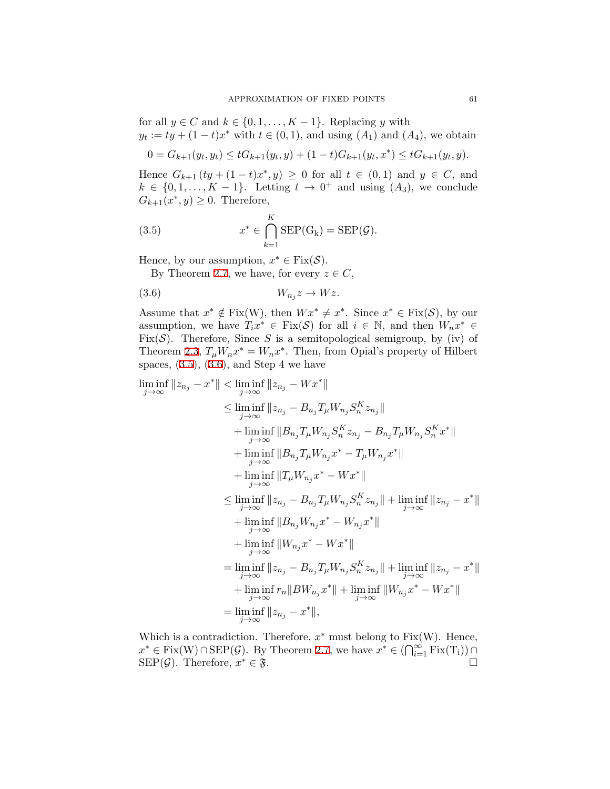for all  $y \in C$  and  $k \in \{0, 1, \ldots, K-1\}$ . Replacing *y* with  $y_t := ty + (1 - t)x^*$  with  $t \in (0, 1)$ , and using  $(A_1)$  and  $(A_4)$ , we obtain

$$
0 = G_{k+1}(y_t, y_t) \le tG_{k+1}(y_t, y) + (1-t)G_{k+1}(y_t, x^*) \le tG_{k+1}(y_t, y).
$$

Hence  $G_{k+1}$  (*ty* + (1 − *t*)*x*<sup>\*</sup>, *y*) ≥ 0 for all *t* ∈ (0,1) and *y* ∈ *C*, and  $k \in \{0, 1, \ldots, K - 1\}$ . Letting  $t \to 0^+$  and using  $(A_3)$ , we conclude  $G_{k+1}(x^*, y) \geq 0$ . Therefore,

<span id="page-12-0"></span>(3.5) 
$$
x^* \in \bigcap_{k=1}^K \text{SEP}(G_k) = \text{SEP}(\mathcal{G}).
$$

Hence, by our assumption,  $x^* \in \text{Fix}(\mathcal{S})$ .

By Theorem [2.7,](#page-6-1) we have, for every  $z \in C$ ,

<span id="page-12-1"></span>
$$
(3.6) \t W_{n_j} z \to W z.
$$

Assume that  $x^* \notin Fix(W)$ , then  $Wx^* \neq x^*$ . Since  $x^* \in Fix(\mathcal{S})$ , by our assumption, we have  $T_i x^* \in \text{Fix}(\mathcal{S})$  for all  $i \in \mathbb{N}$ , and then  $W_n x^* \in$ Fix( $S$ ). Therefore, Since *S* is a semitopological semigroup, by (iv) of Theorem [2.3,](#page-5-1)  $T_{\mu}W_{n}x^* = W_{n}x^*$ . Then, from Opial's property of Hilbert spaces,  $(3.5)$ ,  $(3.6)$ , and Step 4 we have

$$
\liminf_{j \to \infty} \|z_{n_j} - x^* \| < \liminf_{j \to \infty} \|z_{n_j} - Wx^* \|
$$
\n
$$
\leq \liminf_{j \to \infty} \|z_{n_j} - B_{n_j} T_\mu W_{n_j} S_n^K z_{n_j} \|
$$
\n
$$
+ \liminf_{j \to \infty} \|B_{n_j} T_\mu W_{n_j} S_n^K z_{n_j} - B_{n_j} T_\mu W_{n_j} S_n^K x^* \|
$$
\n
$$
+ \liminf_{j \to \infty} \|B_{n_j} T_\mu W_{n_j} x^* - T_\mu W_{n_j} x^* \|
$$
\n
$$
+ \liminf_{j \to \infty} \|T_\mu W_{n_j} x^* - Wx^* \|
$$
\n
$$
\leq \liminf_{j \to \infty} \|z_{n_j} - B_{n_j} T_\mu W_{n_j} S_n^K z_{n_j} \| + \liminf_{j \to \infty} \|z_{n_j} - x^* \|
$$
\n
$$
+ \liminf_{j \to \infty} \|B_{n_j} W_{n_j} x^* - W_{n_j} x^* \|
$$
\n
$$
+ \liminf_{j \to \infty} \|W_{n_j} x^* - Wx^* \|
$$
\n
$$
= \liminf_{j \to \infty} \|z_{n_j} - B_{n_j} T_\mu W_{n_j} S_n^K z_{n_j} \| + \liminf_{j \to \infty} \|z_{n_j} - x^* \|
$$
\n
$$
+ \liminf_{j \to \infty} \|z_{n_j} - B_{n_j} T_\mu W_{n_j} S_n^K z_{n_j} \| + \liminf_{j \to \infty} \|z_{n_j} - x^* \|
$$
\n
$$
+ \liminf_{j \to \infty} \|z_{n_j} - x^* \|,
$$
\n
$$
= \liminf_{j \to \infty} \|z_{n_j} - x^* \|,
$$
\n
$$
= \liminf_{j \to \infty} |z_{n_j} - x^* \|,
$$

Which is a contradiction. Therefore, *x ∗* must belong to Fix(W). Hence,  $x^* \in \text{Fix}(W) \cap \text{SEP}(\mathcal{G})$ . By Theorem [2.7,](#page-6-1) we have  $x^* \in (\bigcap_{i=1}^{\infty} \text{Fix}(T_i)) \cap$ SEP( $G$ ). Therefore,  $x^* \in \mathfrak{F}$ .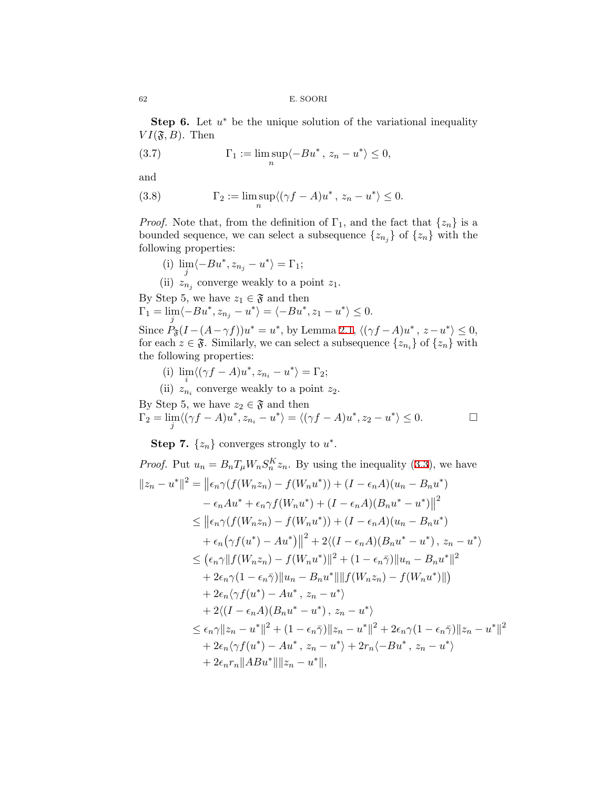**Step 6.** Let  $u^*$  be the unique solution of the variational inequality  $VI(\mathfrak{F},B)$ . Then

<span id="page-13-0"></span>(3.7) 
$$
\Gamma_1 := \limsup_n \langle -Bu^*, z_n - u^* \rangle \le 0,
$$

and

<span id="page-13-1"></span>(3.8) 
$$
\Gamma_2 := \limsup_n \langle (\gamma f - A)u^*, z_n - u^* \rangle \le 0.
$$

*Proof.* Note that, from the definition of  $\Gamma_1$ , and the fact that  $\{z_n\}$  is a bounded sequence, we can select a subsequence  $\{z_{n_j}\}$  of  $\{z_n\}$  with the following properties:

(i)  $\lim_{j} \langle -Bu^*, z_{n_j} - u^* \rangle = \Gamma_1;$ 

(ii)  $z_{n_j}$  converge weakly to a point  $z_1$ .

By Step 5, we have  $z_1 \in \mathfrak{F}$  and then  $\Gamma_1 = \lim_{i} \langle -Bu^*, z_{n_j} - u^* \rangle = \langle -Bu^*, z_1 - u^* \rangle \leq 0.$ *j* Since  $P_{\mathfrak{F}}(I - (A - \gamma f))u^* = u^*$ , by Lemma [2.1,](#page-4-1)  $\langle (\gamma f - A)u^*, z - u^* \rangle \leq 0$ , for each  $z \in \mathfrak{F}$ . Similarly, we can select a subsequence  $\{z_{n_i}\}\$  of  $\{z_n\}$  with the following properties:

(i)  $\lim_{t \to \infty} \langle (\gamma f - A)u^*, z_{n_i} - u^* \rangle = \Gamma_2;$ 

(ii)  $z_{n_i}$  converge weakly to a point  $z_2$ .

By Step 5, we have  $z_2 \in \mathfrak{F}$  and then  $\Gamma_2 = \lim_{j} \langle (\gamma f - A)u^*, z_{n_i} - u^* \rangle = \langle (\gamma f - A)u^*, z_2 - u^* \rangle \le 0.$ 

**Step 7.**  $\{z_n\}$  converges strongly to  $u^*$ .

Proof. Put 
$$
u_n = B_n T_\mu W_n S_n^K z_n
$$
. By using the inequality (3.3), we have  
\n
$$
||z_n - u^*||^2 = ||\epsilon_n \gamma(f(W_n z_n) - f(W_n u^*)) + (I - \epsilon_n A)(u_n - B_n u^*) - \epsilon_n A u^* + \epsilon_n \gamma f(W_n u^*) + (I - \epsilon_n A)(B_n u^* - u^*)||^2
$$
\n
$$
\leq ||\epsilon_n \gamma(f(W_n z_n) - f(W_n u^*)) + (I - \epsilon_n A)(u_n - B_n u^*) + \epsilon_n (\gamma f(u^*) - A u^*)||^2 + 2\langle (I - \epsilon_n A)(B_n u^* - u^*) , z_n - u^* \rangle
$$
\n
$$
\leq (\epsilon_n \gamma ||f(W_n z_n) - f(W_n u^*)||^2 + (1 - \epsilon_n \bar{\gamma}) ||u_n - B_n u^*||^2
$$
\n
$$
+ 2\epsilon_n \gamma(1 - \epsilon_n \bar{\gamma}) ||u_n - B_n u^*|| ||f(W_n z_n) - f(W_n u^*)||)
$$
\n
$$
+ 2\epsilon_n \langle \gamma f(u^*) - A u^*, z_n - u^* \rangle
$$
\n
$$
+ 2\langle (I - \epsilon_n A)(B_n u^* - u^*), z_n - u^* \rangle
$$
\n
$$
\leq \epsilon_n \gamma ||z_n - u^*||^2 + (1 - \epsilon_n \bar{\gamma}) ||z_n - u^*||^2 + 2\epsilon_n \gamma(1 - \epsilon_n \bar{\gamma}) ||z_n - u^*||^2
$$
\n
$$
+ 2\epsilon_n \langle \gamma f(u^*) - A u^*, z_n - u^* \rangle + 2r_n \langle -Bu^*, z_n - u^* \rangle
$$
\n
$$
+ 2\epsilon_n r_n ||AB u^*|| ||z_n - u^*||,
$$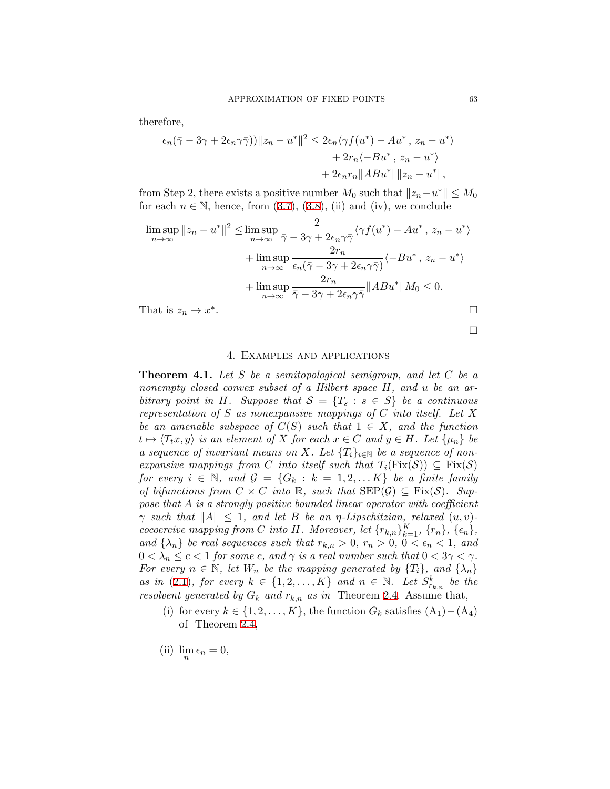therefore,

$$
\epsilon_n(\bar{\gamma} - 3\gamma + 2\epsilon_n \gamma \bar{\gamma})) \|z_n - u^*\|^2 \leq 2\epsilon_n \langle \gamma f(u^*) - Au^*, z_n - u^* \rangle
$$
  
+ 2r\_n \langle -Bu^\*, z\_n - u^\* \rangle  
+ 2\epsilon\_n r\_n \|ABu^\*\| \|z\_n - u^\*\|,

from Step 2, there exists a positive number  $M_0$  such that  $||z_n - u^*|| \le M_0$ foreach  $n \in \mathbb{N}$ , hence, from  $(3.7)$  $(3.7)$  $(3.7)$ ,  $(3.8)$  $(3.8)$ ,  $(ii)$  and  $(iv)$ , we conclude

$$
\limsup_{n \to \infty} ||z_n - u^*||^2 \le \limsup_{n \to \infty} \frac{2}{\bar{\gamma} - 3\gamma + 2\epsilon_n \gamma \bar{\gamma}} \langle \gamma f(u^*) - Au^*, z_n - u^* \rangle
$$
  
+ 
$$
\limsup_{n \to \infty} \frac{2r_n}{\epsilon_n(\bar{\gamma} - 3\gamma + 2\epsilon_n \gamma \bar{\gamma})} \langle -Bu^*, z_n - u^* \rangle
$$
  
+ 
$$
\limsup_{n \to \infty} \frac{2r_n}{\bar{\gamma} - 3\gamma + 2\epsilon_n \gamma \bar{\gamma}} ||ABu^*||M_0 \le 0.
$$
  
That is  $z_n \to x^*$ .

4. Examples and applications

**Theorem 4.1.** *Let S be a semitopological semigroup, and let C be a nonempty closed convex subset of a Hilbert space H, and u be an arbitrary point in H. Suppose that*  $S = \{T_s : s \in S\}$  *be a continuous representation of S as nonexpansive mappings of C into itself. Let X be an amenable subspace of*  $C(S)$  *such that*  $1 \in X$ *, and the function*  $t \mapsto \langle T_t x, y \rangle$  *is an element of X for each*  $x \in C$  *and*  $y \in H$ *. Let*  $\{\mu_n\}$  *be a sequence of invariant means on X. Let*  $\{T_i\}_{i\in\mathbb{N}}$  *be a sequence of nonexpansive mappings from C into itself such that*  $T_i(Fix(\mathcal{S})) \subseteq Fix(\mathcal{S})$ *for every*  $i \in \mathbb{N}$ *, and*  $\mathcal{G} = \{G_k : k = 1, 2, \ldots K\}$  *be a finite family of bifunctions from*  $C \times C$  *into*  $\mathbb{R}$ *, such that*  $\text{SEP}(\mathcal{G}) \subseteq \text{Fix}(\mathcal{S})$ *. Suppose that A is a strongly positive bounded linear operator with coefficient*  $\overline{\gamma}$  *such that*  $||A|| \leq 1$ *, and let B be an*  $\eta$ *-Lipschitzian, relaxed*  $(u, v)$ cocoercive mapping from C into H. Moreover, let  $\{r_{k,n}\}_{k=1}^K$ ,  $\{r_n\}$ ,  $\{\epsilon_n\}$ , *and*  $\{\lambda_n\}$  *be real sequences such that*  $r_{k,n} > 0$ ,  $r_n > 0$ ,  $0 < \epsilon_n < 1$ , and  $0 < \lambda_n \leq c < 1$  *for some c, and*  $\gamma$  *is a real number such that*  $0 < 3\gamma < \overline{\gamma}$ *. For every*  $n \in \mathbb{N}$ *, let*  $W_n$  *be the mapping generated by*  $\{T_i\}$ *, and*  $\{\lambda_n\}$ *as in* [\(2.1\)](#page-6-0)*, for every*  $k \in \{1, 2, ..., K\}$  *and*  $n \in \mathbb{N}$ *. Let*  $S_{r_{k,n}}^k$  *be the resolvent generated by*  $G_k$  *and*  $r_{k,n}$  *as in* Theorem [2.4.](#page-5-0) Assume that,

- (i) for every  $k \in \{1, 2, \ldots, K\}$ , the function  $G_k$  satisfies  $(A_1) (A_4)$ of Theorem [2.4,](#page-5-0)
- (ii)  $\lim_{n} \epsilon_n = 0$ ,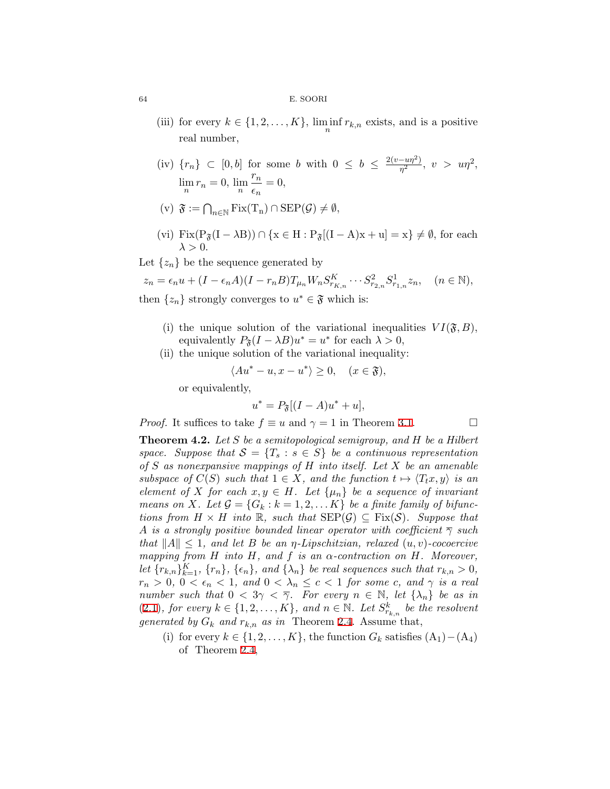- (iii) for every  $k \in \{1, 2, ..., K\}$ ,  $\liminf_{n} r_{k,n}$  exists, and is a positive real number,
- $(iv)$  { $r_n$ } ⊂ [0, *b*] for some *b* with 0 ≤ *b* ≤  $\frac{2(v up^2)}{n^2}$  $\frac{-u\eta^2}{\eta^2}, \ v > u\eta^2,$  $\lim_{n} r_n = 0, \lim_{n} \frac{r_n}{\epsilon_n}$  $\frac{r_n}{\epsilon_n} = 0,$
- $(v)$   $\mathfrak{F} := \bigcap_{n \in \mathbb{N}} \text{Fix}(T_n) \cap \text{SEP}(\mathcal{G}) \neq \emptyset,$
- (vi) Fix( $P_{\mathfrak{F}}(I \lambda B)$ )  $\cap$  { $x \in H : P_{\mathfrak{F}}[(I A)x + u] = x$ }  $\neq \emptyset$ , for each  $\lambda > 0$ .

Let  $\{z_n\}$  be the sequence generated by

 $z_n = \epsilon_n u + (I - \epsilon_n A)(I - r_n B) T_{\mu_n} W_n S_{r_{K,n}}^K \cdots S_{r_{2,n}}^2 S_{r_{1,n}}^1 z_n, \quad (n \in \mathbb{N}),$ then  $\{z_n\}$  strongly converges to  $u^* \in \mathfrak{F}$  which is:

- (i) the unique solution of the variational inequalities  $VI(\mathfrak{F},B)$ , equivalently  $P_{\mathfrak{F}}(I - \lambda B)u^* = u^*$  for each  $\lambda > 0$ ,
- (ii) the unique solution of the variational inequality:

$$
\langle Au^* - u, x - u^* \rangle \ge 0, \quad (x \in \mathfrak{F}),
$$

or equivalently,

$$
u^* = P_{\mathfrak{F}}[(I - A)u^* + u],
$$

*Proof.* It suffices to take  $f \equiv u$  and  $\gamma = 1$  in Theorem [3.1.](#page-7-1) □

**Theorem 4.2.** *Let S be a semitopological semigroup, and H be a Hilbert space. Suppose that*  $S = \{T_s : s \in S\}$  *be a continuous representation of S as nonexpansive mappings of H into itself. Let X be an amenable subspace of*  $C(S)$  *such that*  $1 \in X$ *, and the function*  $t \mapsto \langle T_t x, y \rangle$  *is an element of X for each*  $x, y \in H$ *. Let*  $\{\mu_n\}$  *be a sequence of invariant means on X.* Let  $\mathcal{G} = \{G_k : k = 1, 2, \dots K\}$  be a finite family of bifunc*tions from*  $H \times H$  *into* R, such that  $\text{SEP}(\mathcal{G}) \subseteq \text{Fix}(\mathcal{S})$ *. Suppose that A is a strongly positive bounded linear operator with coefficient*  $\overline{\gamma}$  *such that ∥A∥ ≤* 1*, and let B be an η-Lipschitzian, relaxed* (*u, v*)*-cocoercive mapping from H into H, and f is an α-contraction on H. Moreover,* let  $\{r_{k,n}\}_{k=1}^K$ ,  $\{r_n\}$ ,  $\{\epsilon_n\}$ , and  $\{\lambda_n\}$  be real sequences such that  $r_{k,n} > 0$ ,  $r_n > 0$ ,  $0 < \epsilon_n < 1$ , and  $0 < \lambda_n \leq c < 1$  for some *c*, and  $\gamma$  *is a real number such that*  $0 < 3\gamma < \overline{\gamma}$ . For every  $n \in \mathbb{N}$ , let  $\{\lambda_n\}$  be as in  $(2.1)$  $(2.1)$ *, for every*  $k \in \{1, 2, \ldots, K\}$ *, and*  $n \in \mathbb{N}$ *. Let*  $S_{r_{k,n}}^k$  *be the resolvent generated by*  $G_k$  *and*  $r_{k,n}$  *as in* Theorem [2.4](#page-5-0). Assume that,

(i) for every  $k \in \{1, 2, \ldots, K\}$ , the function  $G_k$  satisfies  $(A_1) - (A_4)$ of Theorem [2.4,](#page-5-0)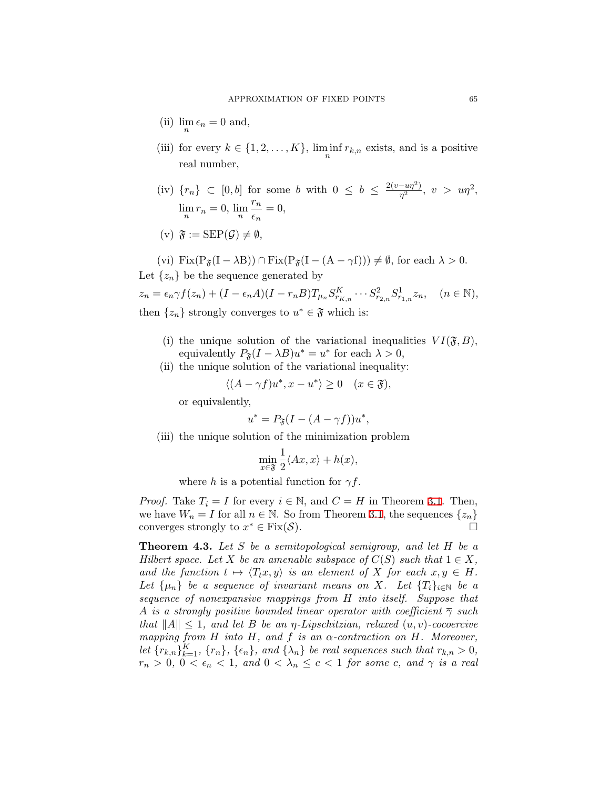- (ii)  $\lim_{n} \epsilon_n = 0$  and,
- (iii) for every  $k \in \{1, 2, ..., K\}$ ,  $\liminf_{n} r_{k,n}$  exists, and is a positive real number,
- $(iv)$  { $r_n$ } ⊂ [0, *b*] for some *b* with 0 ≤ *b* ≤  $\frac{2(v up^2)}{n^2}$  $\frac{-u\eta^2}{\eta^2}, \ v > u\eta^2,$  $\lim_{n} r_n = 0, \lim_{n} \frac{r_n}{\epsilon_n}$  $\frac{r_n}{\epsilon_n} = 0,$  $(v)$   $\mathfrak{F} := \text{SEP}(\mathcal{G}) \neq \emptyset$ ,

(vi) Fix
$$
(P_{\mathfrak{F}}(I - \lambda B)) \cap Fix(P_{\mathfrak{F}}(I - (A - \gamma f))) \neq \emptyset
$$
, for each  $\lambda > 0$ .

Let  $\{z_n\}$  be the sequence generated by

 $z_n = \epsilon_n \gamma f(z_n) + (I - \epsilon_n A)(I - r_n B) T_{\mu_n} S_{r_{K,n}}^K \cdots S_{r_{2,n}}^2 S_{r_{1,n}}^1$  $(n \in \mathbb{N}),$ then  $\{z_n\}$  strongly converges to  $u^* \in \mathfrak{F}$  which is:

- (i) the unique solution of the variational inequalities  $VI(\mathfrak{F}, B)$ , equivalently  $P_{\mathfrak{F}}(I - \lambda B)u^* = u^*$  for each  $\lambda > 0$ ,
- (ii) the unique solution of the variational inequality:

$$
\langle (A - \gamma f)u^*, x - u^* \rangle \ge 0 \quad (x \in \mathfrak{F}),
$$

or equivalently,

$$
u^* = P_{\mathfrak{F}}(I - (A - \gamma f))u^*,
$$

(iii) the unique solution of the minimization problem

$$
\min_{x \in \mathfrak{F}} \frac{1}{2} \langle Ax, x \rangle + h(x),
$$

where *h* is a potential function for  $\gamma f$ .

*Proof.* Take  $T_i = I$  for every  $i \in \mathbb{N}$ , and  $C = H$  in Theorem [3.1.](#page-7-1) Then, we have  $W_n = I$  for all  $n \in \mathbb{N}$ . So from Theorem [3.1,](#page-7-1) the sequences  $\{z_n\}$ converges strongly to  $x^* \in \text{Fix}(\mathcal{S})$ .

**Theorem 4.3.** *Let S be a semitopological semigroup, and let H be a Hilbert space. Let X be an amenable subspace of*  $C(S)$  *such that*  $1 \in X$ *, and the function*  $t \mapsto \langle T_t x, y \rangle$  *is an element of X for each*  $x, y \in H$ *. Let*  $\{\mu_n\}$  *be a sequence of invariant means on X. Let*  $\{T_i\}_{i\in\mathbb{N}}$  *be a sequence of nonexpansive mappings from H into itself. Suppose that A is a strongly positive bounded linear operator with coefficient γ such that*  $||A|| \leq 1$ *, and let B be an*  $\eta$ *-Lipschitzian, relaxed*  $(u, v)$ -cocoercive *mapping from H into H, and f is an α-contraction on H. Moreover,* let  $\{r_{k,n}\}_{k=1}^K$ ,  $\{r_n\}$ ,  $\{\epsilon_n\}$ , and  $\{\lambda_n\}$  be real sequences such that  $r_{k,n} > 0$ ,  $r_n > 0$ ,  $0 < \epsilon_n < 1$ , and  $0 < \lambda_n \leq c < 1$  for some *c*, and  $\gamma$  *is a real*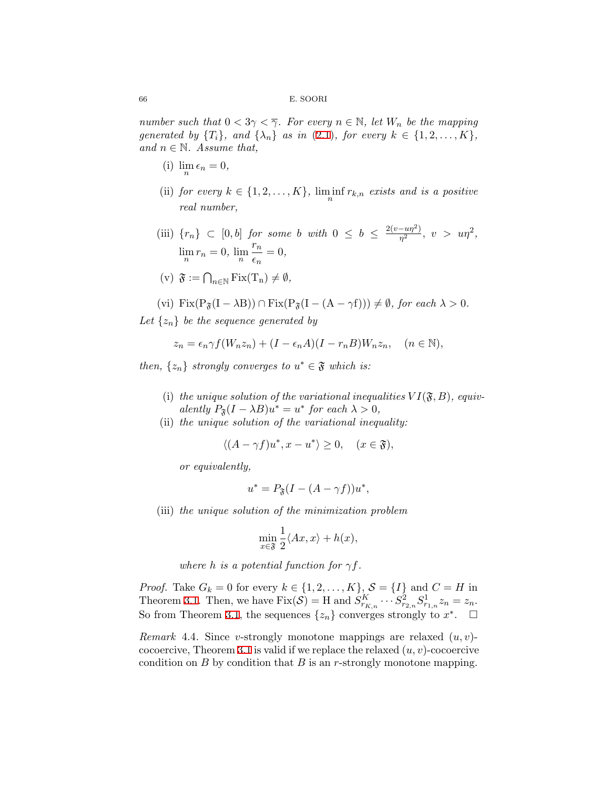*number such that*  $0 < 3\gamma < \overline{\gamma}$ *. For every*  $n \in \mathbb{N}$ *, let*  $W_n$  *be the mapping generated by*  $\{T_i\}$ *, and*  $\{\lambda_n\}$  *as in* ([2.1](#page-6-0))*, for every*  $k \in \{1, 2, ..., K\}$ *, and*  $n \in \mathbb{N}$ *. Assume that,* 

- (i)  $\lim_{n} \epsilon_n = 0$ ,
- (ii) *for every*  $k \in \{1, 2, \ldots, K\}$ ,  $\liminf_{n} r_{k,n}$  *exists and is a positive real number,*
- (iii)  ${r_n}$  ⊂ [0*, b*] *for some b with* 0 ≤ *b* ≤  $\frac{2(v up^2)}{n^2}$  $\frac{-u\eta^2}{\eta^2}, \ v > u\eta^2,$  $\lim_{n} r_n = 0$ ,  $\lim_{n} \frac{r_n}{\epsilon_n}$  $\frac{n}{\epsilon_n} = 0,$  $(v)$   $\mathfrak{F} := \bigcap_{n \in \mathbb{N}} \text{Fix}(T_n) \neq \emptyset$ ,

$$
(vi) Fix(P_{\mathfrak{F}}(I - \lambda B)) \cap Fix(P_{\mathfrak{F}}(I - (A - \gamma f))) \neq \emptyset, for each \lambda > 0.
$$

Let  $\{z_n\}$  be the sequence generated by

$$
z_n = \epsilon_n \gamma f(W_n z_n) + (I - \epsilon_n A)(I - r_n B)W_n z_n, \quad (n \in \mathbb{N}),
$$

*then,*  $\{z_n\}$  *strongly converges to*  $u^* \in \mathfrak{F}$  *which is:* 

- (i) the unique solution of the variational inequalities  $VI(\mathfrak{F}, B)$ , equiv- $\alpha$  *alently*  $P_{\mathfrak{F}}(I - \lambda B)u^* = u^*$  *for each*  $\lambda > 0$ *,*
- (ii) *the unique solution of the variational inequality:*

$$
\langle (A - \gamma f)u^*, x - u^* \rangle \ge 0, \quad (x \in \mathfrak{F}),
$$

*or equivalently,*

$$
u^* = P_{\mathfrak{F}}(I - (A - \gamma f))u^*,
$$

(iii) *the unique solution of the minimization problem*

$$
\min_{x \in \mathfrak{F}} \frac{1}{2} \langle Ax, x \rangle + h(x),
$$

*where h is a potential function for*  $\gamma f$ *.* 

*Proof.* Take  $G_k = 0$  for every  $k \in \{1, 2, \ldots, K\}$ ,  $S = \{I\}$  and  $C = H$  in Theorem [3.1.](#page-7-1) Then, we have  $\text{Fix}(\mathcal{S}) = H$  and  $S_{r_{K,n}}^K \cdots S_{r_{2,n}}^2 S_{r_{1,n}}^1 z_n = z_n$ . So from Theorem [3.1](#page-7-1), the sequences  $\{z_n\}$  converges strongly to  $x^*$ .  $\Box$ 

*Remark* 4.4*.* Since *v*-strongly monotone mappings are relaxed (*u, v*) cocoercive, Theorem [3.1](#page-7-1) is valid if we replace the relaxed (*u, v*)-cocoercive condition on *B* by condition that *B* is an *r*-strongly monotone mapping.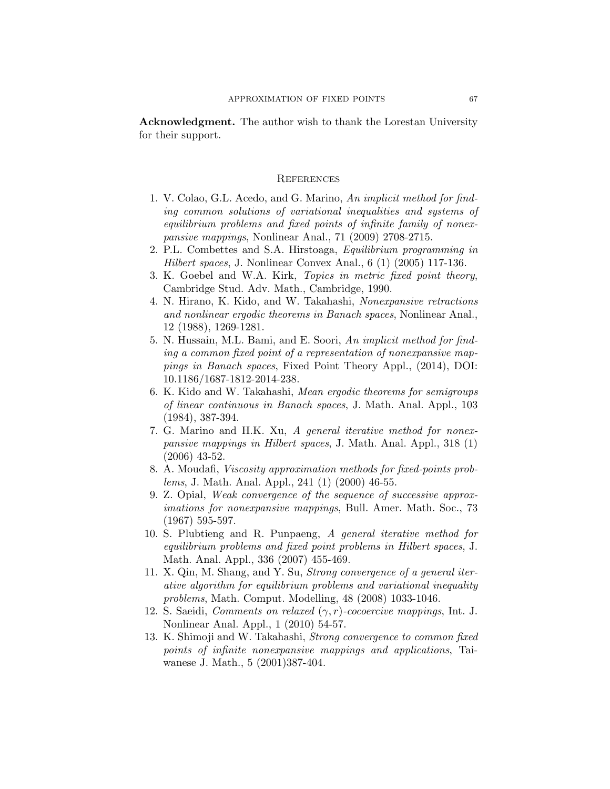**Acknowledgment.** The author wish to thank the Lorestan University for their support.

## **REFERENCES**

- <span id="page-18-8"></span>1. V. Colao, G.L. Acedo, and G. Marino, *An implicit method for finding common solutions of variational inequalities and systems of equilibrium problems and fixed points of infinite family of nonexpansive mappings*, Nonlinear Anal., 71 (2009) 2708-2715.
- <span id="page-18-7"></span>2. P.L. Combettes and S.A. Hirstoaga, *Equilibrium programming in Hilbert spaces*, J. Nonlinear Convex Anal., 6 (1) (2005) 117-136.
- <span id="page-18-3"></span>3. K. Goebel and W.A. Kirk, *Topics in metric fixed point theory*, Cambridge Stud. Adv. Math., Cambridge, 1990.
- <span id="page-18-4"></span>4. N. Hirano, K. Kido, and W. Takahashi, *Nonexpansive retractions and nonlinear ergodic theorems in Banach spaces*, Nonlinear Anal., 12 (1988), 1269-1281.
- <span id="page-18-2"></span>5. N. Hussain, M.L. Bami, and E. Soori, *An implicit method for finding a common fixed point of a representation of nonexpansive mappings in Banach spaces*, Fixed Point Theory Appl., (2014), DOI: 10.1186/1687-1812-2014-238.
- <span id="page-18-5"></span>6. K. Kido and W. Takahashi, *Mean ergodic theorems for semigroups of linear continuous in Banach spaces*, J. Math. Anal. Appl., 103 (1984), 387-394.
- <span id="page-18-6"></span>7. G. Marino and H.K. Xu, *A general iterative method for nonexpansive mappings in Hilbert spaces*, J. Math. Anal. Appl., 318 (1) (2006) 43-52.
- <span id="page-18-0"></span>8. A. Moudafi, *Viscosity approximation methods for fixed-points problems*, J. Math. Anal. Appl., 241 (1) (2000) 46-55.
- <span id="page-18-9"></span>9. Z. Opial, *Weak convergence of the sequence of successive approximations for nonexpansive mappings*, Bull. Amer. Math. Soc., 73 (1967) 595-597.
- <span id="page-18-1"></span>10. S. Plubtieng and R. Punpaeng, *A general iterative method for equilibrium problems and fixed point problems in Hilbert spaces*, J. Math. Anal. Appl., 336 (2007) 455-469.
- <span id="page-18-10"></span>11. X. Qin, M. Shang, and Y. Su, *Strong convergence of a general iterative algorithm for equilibrium problems and variational inequality problems*, Math. Comput. Modelling, 48 (2008) 1033-1046.
- <span id="page-18-12"></span>12. S. Saeidi, *Comments on relaxed* (*γ, r*)*-cocoercive mappings*, Int. J. Nonlinear Anal. Appl., 1 (2010) 54-57.
- <span id="page-18-11"></span>13. K. Shimoji and W. Takahashi, *Strong convergence to common fixed points of infinite nonexpansive mappings and applications*, Taiwanese J. Math., 5 (2001)387-404.